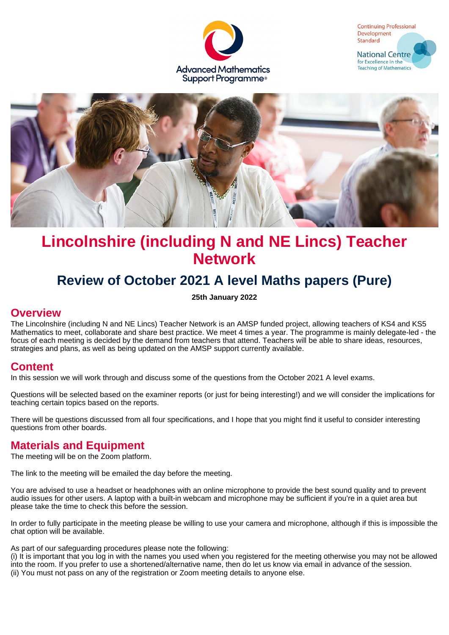





# **Lincolnshire (including N and NE Lincs) Teacher Network**

# **Review of October 2021 A level Maths papers (Pure)**

**25th January 2022**

#### **Overview**

The Lincolnshire (including N and NE Lincs) Teacher Network is an AMSP funded project, allowing teachers of KS4 and KS5 Mathematics to meet, collaborate and share best practice. We meet 4 times a year. The programme is mainly delegate-led - the focus of each meeting is decided by the demand from teachers that attend. Teachers will be able to share ideas, resources, strategies and plans, as well as being updated on the AMSP support currently available.

#### **Content**

In this session we will work through and discuss some of the questions from the October 2021 A level exams.

Questions will be selected based on the examiner reports (or just for being interesting!) and we will consider the implications for teaching certain topics based on the reports.

There will be questions discussed from all four specifications, and I hope that you might find it useful to consider interesting questions from other boards.

### **Materials and Equipment**

The meeting will be on the Zoom platform.

The link to the meeting will be emailed the day before the meeting.

You are advised to use a headset or headphones with an online microphone to provide the best sound quality and to prevent audio issues for other users. A laptop with a built-in webcam and microphone may be sufficient if you're in a quiet area but please take the time to check this before the session.

In order to fully participate in the meeting please be willing to use your camera and microphone, although if this is impossible the chat option will be available.

As part of our safeguarding procedures please note the following:

(i) It is important that you log in with the names you used when you registered for the meeting otherwise you may not be allowed into the room. If you prefer to use a shortened/alternative name, then do let us know via email in advance of the session. (ii) You must not pass on any of the registration or Zoom meeting details to anyone else.